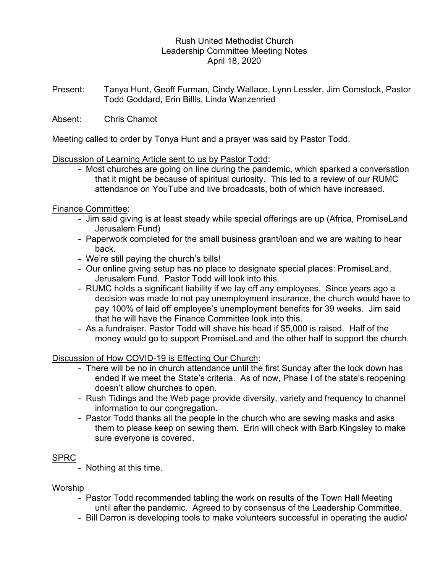## Rush United Methodist Church Leadership Committee Meeting Notes April 18, 2020

Present: Tanya Hunt, Geoff Furman, Cindy Wallace, Lynn Lessler, Jim Comstock, Pastor Todd Goddard, Erin Billls, Linda Wanzenried

Absent: Chris Chamot

Meeting called to order by Tonya Hunt and a prayer was said by Pastor Todd.

### Discussion of Learning Article sent to us by Pastor Todd:

 - Most churches are going on line during the pandemic, which sparked a conversation that it might be because of spiritual curiosity. This led to a review of our RUMC attendance on YouTube and live broadcasts, both of which have increased.

## Finance Committee:

- Jim said giving is at least steady while special offerings are up (Africa, PromiseLand Jerusalem Fund)
- Paperwork completed for the small business grant/loan and we are waiting to hear back.
- We're still paying the church's bills!
- Our online giving setup has no place to designate special places: PromiseLand, Jerusalem Fund. Pastor Todd will look into this.
- RUMC holds a significant liability if we lay off any employees. Since years ago a decision was made to not pay unemployment insurance, the church would have to pay 100% of laid off employee's unemployment benefits for 39 weeks. Jim said that he will have the Finance Committee look into this.
- As a fundraiser. Pastor Todd will shave his head if \$5,000 is raised. Half of the money would go to support PromiseLand and the other half to support the church.

Discussion of How COVID-19 is Effecting Our Church:

- There will be no in church attendance until the first Sunday after the lock down has ended if we meet the State's criteria. As of now, Phase I of the state's reopening doesn't allow churches to open.
- Rush Tidings and the Web page provide diversity, variety and frequency to channel information to our congregation.
- Pastor Todd thanks all the people in the church who are sewing masks and asks them to please keep on sewing them. Erin will check with Barb Kingsley to make sure everyone is covered.

# SPRC

- Nothing at this time.

### Worship

- Pastor Todd recommended tabling the work on results of the Town Hall Meeting until after the pandemic. Agreed to by consensus of the Leadership Committee.
- Bill Darron is developing tools to make volunteers successful in operating the audio/